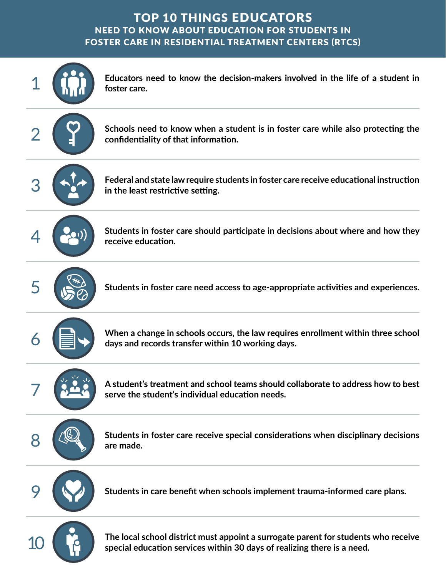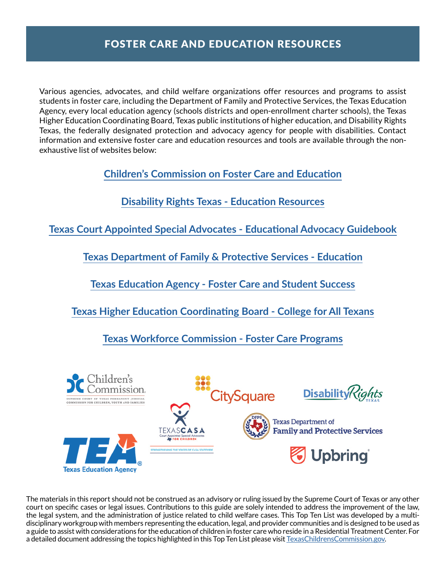Various agencies, advocates, and child welfare organizations offer resources and programs to assist students in foster care, including the Department of Family and Protective Services, the Texas Education Agency, every local education agency (schools districts and open-enrollment charter schools), the Texas Higher Education Coordinating Board, Texas public institutions of higher education, and Disability Rights Texas, the federally designated protection and advocacy agency for people with disabilities. Contact information and extensive foster care and education resources and tools are available through the nonexhaustive list of websites below:

**[Children's Commission on Foster Care and Education](http://texaschildrenscommission.gov/our-work/systems-improvement/foster-care-education/)**

**[Disability Rights Texas - Education Resources](https://www.disabilityrightstx.org/en/category/education/)**

**[Texas Court Appointed Special Advocates - Educational Advocacy Guidebook](https://learn.texascasa.org/resource/educational-advocacy-resources)**

**[Texas Department of Family & Protective Services - Education](https://www.dfps.state.tx.us/Child_Protection/State_Care/education.asp)**

**[Texas Education Agency - Foster Care and Student Success](https://tea.texas.gov/academics/special-student-populations/foster-care-and-student-success/foster-care-student-success)**

**[Texas Higher Education Coordinating Board - College for](http://www.collegeforalltexans.com/apps/financialaid/tofa2.cfm?ID=429) All Texans**

**[Texas Workforce Commission - Foster Care Programs](https://www.twc.texas.gov/partners/foster-care-programs)**



The materials in this report should not be construed as an advisory or ruling issued by the Supreme Court of Texas or any other court on specific cases or legal issues. Contributions to this guide are solely intended to address the improvement of the law, the legal system, and the administration of justice related to child welfare cases. This Top Ten List was developed by a multidisciplinary workgroup with members representing the education, legal, and provider communities and is designed to be used as a guide to assist with considerations for the education of children in foster care who reside in a Residential Treatment Center. For a detailed document addressing the topics highlighted in this Top Ten List please visit [TexasChildrensCommission.gov](http://TexasChildrensCommission.gov).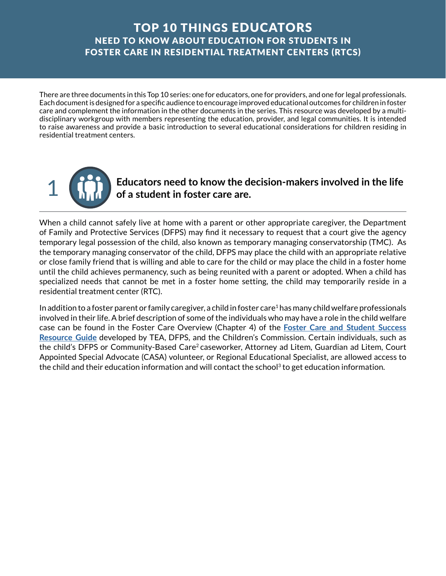There are three documents in this Top 10 series: one for educators, one for providers, and one for legal professionals. Each document is designed for a specific audience to encourage improved educational outcomes for children in foster care and complement the information in the other documents in the series. This resource was developed by a multidisciplinary workgroup with members representing the education, provider, and legal communities. It is intended to raise awareness and provide a basic introduction to several educational considerations for children residing in residential treatment centers.



1 **Educators need to know the decision-makers involved in the life of a student in foster care are.** 

When a child cannot safely live at home with a parent or other appropriate caregiver, the Department of Family and Protective Services (DFPS) may find it necessary to request that a court give the agency temporary legal possession of the child, also known as temporary managing conservatorship (TMC). As the temporary managing conservator of the child, DFPS may place the child with an appropriate relative or close family friend that is willing and able to care for the child or may place the child in a foster home until the child achieves permanency, such as being reunited with a parent or adopted. When a child has specialized needs that cannot be met in a foster home setting, the child may temporarily reside in a residential treatment center (RTC).

In addition to a foster parent or family caregiver, a child in foster care<sup>1</sup> has many child welfare professionals involved in their life. A brief description of some of the individuals who may have a role in the child welfare case can be found in the Foster Care Overview (Chapter 4) of the **[Foster Care and Student Success](https://tea.texas.gov/sites/default/files/resource-guide.pdf) [Resource Guide](https://tea.texas.gov/sites/default/files/resource-guide.pdf)** developed by TEA, DFPS, and the Children's Commission. Certain individuals, such as the child's DFPS or Community-Based Care<sup>2</sup> caseworker, Attorney ad Litem, Guardian ad Litem, Court Appointed Special Advocate (CASA) volunteer, or Regional Educational Specialist, are allowed access to the child and their education information and will contact the school<sup>3</sup> to get education information.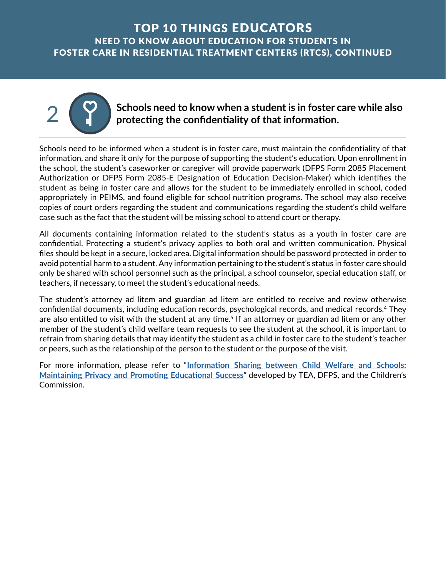

2 **Schools need to know when a student is in foster care while also**<br>2 **Schools need to know when a student information protecting the confidentiality of that information.** 

Schools need to be informed when a student is in foster care, must maintain the confidentiality of that information, and share it only for the purpose of supporting the student's education. Upon enrollment in the school, the student's caseworker or caregiver will provide paperwork (DFPS Form 2085 Placement Authorization or DFPS Form 2085-E Designation of Education Decision-Maker) which identifies the student as being in foster care and allows for the student to be immediately enrolled in school, coded appropriately in PEIMS, and found eligible for school nutrition programs. The school may also receive copies of court orders regarding the student and communications regarding the student's child welfare case such as the fact that the student will be missing school to attend court or therapy.

All documents containing information related to the student's status as a youth in foster care are confidential. Protecting a student's privacy applies to both oral and written communication. Physical files should be kept in a secure, locked area. Digital information should be password protected in order to avoid potential harm to a student. Any information pertaining to the student's status in foster care should only be shared with school personnel such as the principal, a school counselor, special education staff, or teachers, if necessary, to meet the student's educational needs.

The student's attorney ad litem and guardian ad litem are entitled to receive and review otherwise confidential documents, including education records, psychological records, and medical records.4 They are also entitled to visit with the student at any time.<sup>5</sup> If an attorney or guardian ad litem or any other member of the student's child welfare team requests to see the student at the school, it is important to refrain from sharing details that may identify the student as a child in foster care to the student's teacher or peers, such as the relationship of the person to the student or the purpose of the visit.

For more information, please refer to "**[Information Sharing between Child Welfare and Schools:](http://texaschildrenscommission.gov/media/83653/confidentiality-guide-fall-2017-final.pdf) Maintaining Privacy [and Promoting Educational Success](http://texaschildrenscommission.gov/media/83653/confidentiality-guide-fall-2017-final.pdf)**" developed by TEA, DFPS, and the Children's Commission.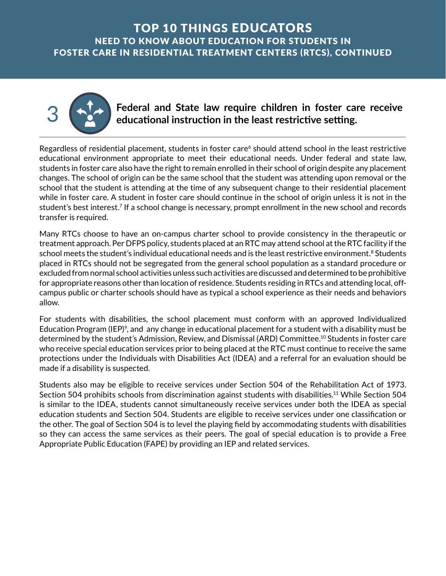

3 **Federal and State law require children in foster care receive educational instruction in the least restrictive setting.** 

Regardless of residential placement, students in foster care<sup>6</sup> should attend school in the least restrictive educational environment appropriate to meet their educational needs. Under federal and state law, students in foster care also have the right to remain enrolled in their school of origin despite any placement changes. The school of origin can be the same school that the student was attending upon removal or the school that the student is attending at the time of any subsequent change to their residential placement while in foster care. A student in foster care should continue in the school of origin unless it is not in the student's best interest.7 If a school change is necessary, prompt enrollment in the new school and records transfer is required.

Many RTCs choose to have an on-campus charter school to provide consistency in the therapeutic or treatment approach. Per DFPS policy, students placed at an RTC may attend school at the RTC facility if the school meets the student's individual educational needs and is the least restrictive environment.<sup>8</sup> Students placed in RTCs should not be segregated from the general school population as a standard procedure or excluded from normal school activities unless such activities are discussed and determined to be prohibitive for appropriate reasons other than location of residence. Students residing in RTCs and attending local, offcampus public or charter schools should have as typical a school experience as their needs and behaviors allow.

For students with disabilities, the school placement must conform with an approved Individualized Education Program (IEP)<sup>9</sup>, and any change in educational placement for a student with a disability must be determined by the student's Admission, Review, and Dismissal (ARD) [Committee.10](https://Committee.10) Students in foster care who receive special education services prior to being placed at the RTC must continue to receive the same protections under the Individuals with Disabilities Act (IDEA) and a referral for an evaluation should be made if a disability is suspected.

Students also may be eligible to receive services under Section 504 of the Rehabilitation Act of 1973. Section 504 prohibits schools from discrimination against students with disabilities.<sup>11</sup> While Section 504 is similar to the IDEA, students cannot simultaneously receive services under both the IDEA as special education students and Section 504. Students are eligible to receive services under one classification or the other. The goal of Section 504 is to level the playing field by accommodating students with disabilities so they can access the same services as their peers. The goal of special education is to provide a Free Appropriate Public Education (FAPE) by providing an IEP and related services.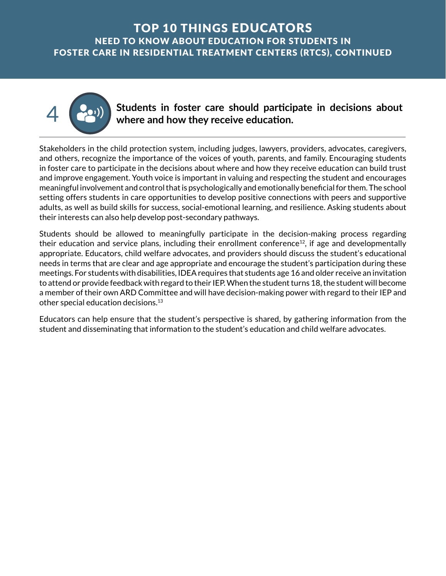

4 **Students in foster care should participate in decisions about where and how they receive education.**

Stakeholders in the child protection system, including judges, lawyers, providers, advocates, caregivers, and others, recognize the importance of the voices of youth, parents, and family. Encouraging students in foster care to participate in the decisions about where and how they receive education can build trust and improve engagement. Youth voice is important in valuing and respecting the student and encourages meaningful involvement and control that is psychologically and emotionally beneficial for them. The school setting offers students in care opportunities to develop positive connections with peers and supportive adults, as well as build skills for success, social-emotional learning, and resilience. Asking students about their interests can also help develop post-secondary pathways.

Students should be allowed to meaningfully participate in the decision-making process regarding their education and service plans, including their enrollment conference $^{12}$ , if age and developmentally appropriate. Educators, child welfare advocates, and providers should discuss the student's educational needs in terms that are clear and age appropriate and encourage the student's participation during these meetings. For students with disabilities, IDEA requires that students age 16 and older receive an invitation to attend or provide feedback with regard to their IEP. When the student turns 18, the student will become a member of their own ARD Committee and will have decision-making power with regard to their IEP and other special education [decisions.13](https://decisions.13) 

Educators can help ensure that the student's perspective is shared, by gathering information from the student and disseminating that information to the student's education and child welfare advocates.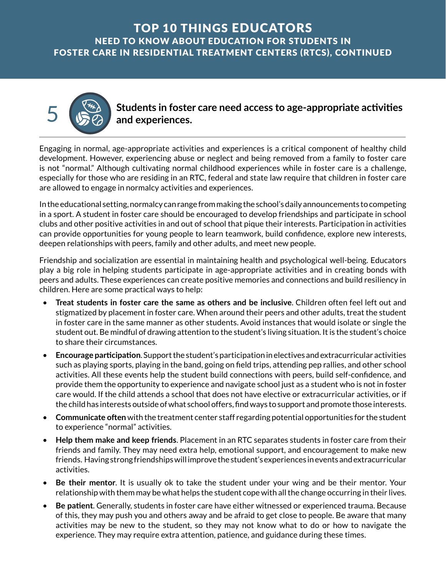5 **Students in foster care need access to age-appropriate activities and experiences.** 

Engaging in normal, age-appropriate activities and experiences is a critical component of healthy child development. However, experiencing abuse or neglect and being removed from a family to foster care is not "normal." Although cultivating normal childhood experiences while in foster care is a challenge, especially for those who are residing in an RTC, federal and state law require that children in foster care are allowed to engage in normalcy activities and experiences.

In the educational setting, normalcy can range from making the school's daily announcements to competing in a sport. A student in foster care should be encouraged to develop friendships and participate in school clubs and other positive activities in and out of school that pique their interests. Participation in activities can provide opportunities for young people to learn teamwork, build confidence, explore new interests, deepen relationships with peers, family and other adults, and meet new people.

Friendship and socialization are essential in maintaining health and psychological well-being. Educators play a big role in helping students participate in age-appropriate activities and in creating bonds with peers and adults. These experiences can create positive memories and connections and build resiliency in children. Here are some practical ways to help:

- **Treat students in foster care the same as others and be inclusive**. Children often feel left out and stigmatized by placement in foster care. When around their peers and other adults, treat the student in foster care in the same manner as other students. Avoid instances that would isolate or single the student out. Be mindful of drawing attention to the student's living situation. It is the student's choice to share their circumstances.
- **Encourage participation**. Support the student's participation in electives and extracurricular activities such as playing sports, playing in the band, going on field trips, attending pep rallies, and other school activities. All these events help the student build connections with peers, build self-confidence, and provide them the opportunity to experience and navigate school just as a student who is not in foster care would. If the child attends a school that does not have elective or extracurricular activities, or if the child has interests outside of what school offers, find ways to support and promote those interests.
- **Communicate often** with the treatment center staff regarding potential opportunities for the student to experience "normal" activities.
- **Help them make and keep friends**. Placement in an RTC separates students in foster care from their friends and family. They may need extra help, emotional support, and encouragement to make new friends. Having strong friendships will improve the student's experiences in events and extracurricular activities.
- **Be their mentor**. It is usually ok to take the student under your wing and be their mentor. Your relationship with them may be what helps the student cope with all the change occurring in their lives.
- **Be patient**. Generally, students in foster care have either witnessed or experienced trauma. Because of this, they may push you and others away and be afraid to get close to people. Be aware that many activities may be new to the student, so they may not know what to do or how to navigate the experience. They may require extra attention, patience, and guidance during these times.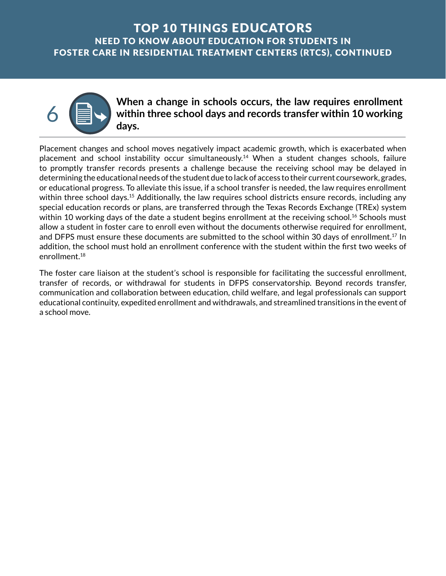

#### When a change in schools occurs, the law requires enrollment<br>within three school days and records transfer within 10 working **within three school days and records transfer within 10 working days.**

Placement changes and school moves negatively impact academic growth, which is exacerbated when placement and school instability occur [simultaneously.14](https://simultaneously.14) When a student changes schools, failure to promptly transfer records presents a challenge because the receiving school may be delayed in determining the educational needs of the student due to lack of access to their current coursework, grades, or educational progress. To alleviate this issue, if a school transfer is needed, the law requires enrollment within three school days.<sup>15</sup> Additionally, the law requires school districts ensure records, including any special education records or plans, are transferred through the Texas Records Exchange (TREx) system within 10 working days of the date a student begins enrollment at the receiving school.<sup>16</sup> Schools must allow a student in foster care to enroll even without the documents otherwise required for enrollment, and DFPS must ensure these documents are submitted to the school within 30 days of enrollment.<sup>17</sup> In addition, the school must hold an enrollment conference with the student within the first two weeks of [enrollment.18](https://enrollment.18)

The foster care liaison at the student's school is responsible for facilitating the successful enrollment, transfer of records, or withdrawal for students in DFPS conservatorship. Beyond records transfer, communication and collaboration between education, child welfare, and legal professionals can support educational continuity, expedited enrollment and withdrawals, and streamlined transitions in the event of a school move.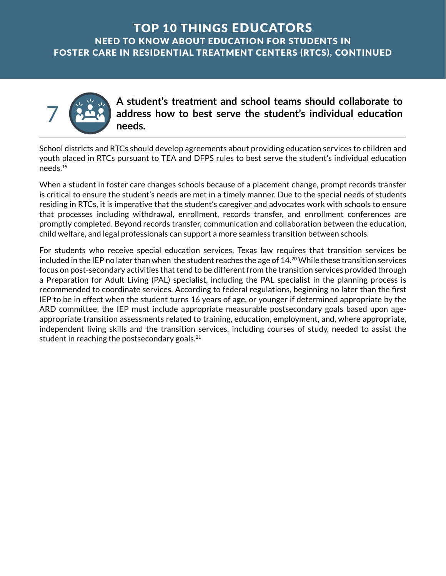

**A student's treatment and school teams should collaborate to address how to best serve the student's individual education needs.** 

School districts and RTCs should develop agreements about providing education services to children and youth placed in RTCs pursuant to TEA and DFPS rules to best serve the student's individual education [needs.19](https://needs.19) 

When a student in foster care changes schools because of a placement change, prompt records transfer is critical to ensure the student's needs are met in a timely manner. Due to the special needs of students residing in RTCs, it is imperative that the student's caregiver and advocates work with schools to ensure that processes including withdrawal, enrollment, records transfer, and enrollment conferences are promptly completed. Beyond records transfer, communication and collaboration between the education, child welfare, and legal professionals can support a more seamless transition between schools.

For students who receive special education services, Texas law requires that transition services be included in the IEP no later than when the student reaches the age of 14.<sup>20</sup> While these transition services focus on post-secondary activities that tend to be different from the transition services provided through a Preparation for Adult Living (PAL) specialist, including the PAL specialist in the planning process is recommended to coordinate services. According to federal regulations, beginning no later than the first IEP to be in effect when the student turns 16 years of age, or younger if determined appropriate by the ARD committee, the IEP must include appropriate measurable postsecondary goals based upon ageappropriate transition assessments related to training, education, employment, and, where appropriate, independent living skills and the transition services, including courses of study, needed to assist the student in reaching the postsecondary goals. $21$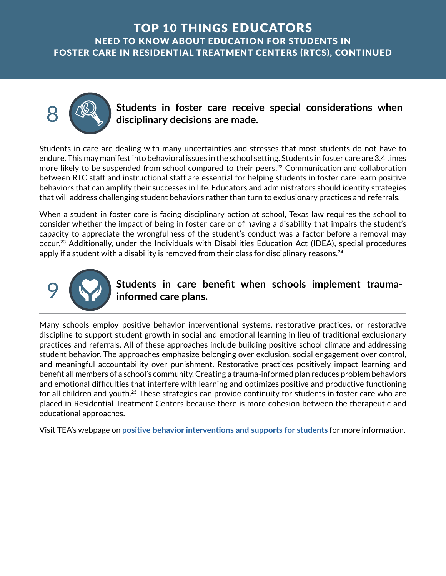8 **Students in foster care receive special considerations when disciplinary decisions are made.** 

Students in care are dealing with many uncertainties and stresses that most students do not have to endure. This may manifest into behavioral issues in the school setting. Students in foster care are 3.4 times more likely to be suspended from school compared to their peers.<sup>22</sup> Communication and collaboration between RTC staff and instructional staff are essential for helping students in foster care learn positive behaviors that can amplify their successes in life. Educators and administrators should identify strategies that will address challenging student behaviors rather than turn to exclusionary practices and referrals.

When a student in foster care is facing disciplinary action at school, Texas law requires the school to consider whether the impact of being in foster care or of having a disability that impairs the student's capacity to appreciate the wrongfulness of the student's conduct was a factor before a removal may [occur.23](https://occur.23) Additionally, under the Individuals with Disabilities Education Act (IDEA), special procedures apply if a student with a disability is removed from their class for disciplinary reasons. $^{24}$ 



#### Students in care benefit when schools implement trauma**informed care plans.**

Many schools employ positive behavior interventional systems, restorative practices, or restorative discipline to support student growth in social and emotional learning in lieu of traditional exclusionary practices and referrals. All of these approaches include building positive school climate and addressing student behavior. The approaches emphasize belonging over exclusion, social engagement over control, and meaningful accountability over punishment. Restorative practices positively impact learning and benefit all members of a school's community. Creating a trauma-informed plan reduces problem behaviors and emotional difficulties that interfere with learning and optimizes positive and productive functioning for all children and [youth.25](https://youth.25) These strategies can provide continuity for students in foster care who are placed in Residential Treatment Centers because there is more cohesion between the therapeutic and educational approaches.

Visit TEA's webpage on **[positive behavior interventions and supports for students](https://tea.texas.gov/about-tea/other-services/mental-health/positive-behavior-interventions-and-supports-and-positive-youth-development)** for more information.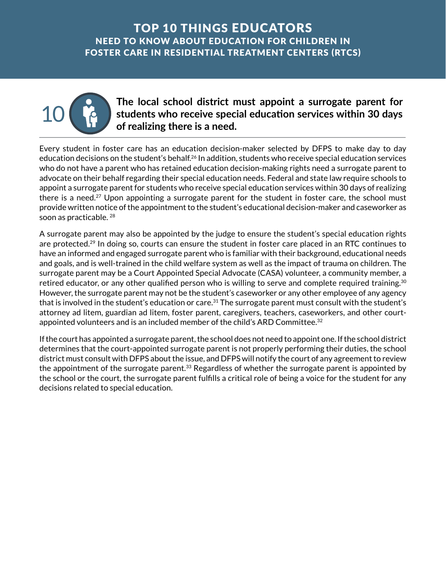

### The local school district must appoint a surrogate parent for<br>students who receive special education services within 30 days **students who receive special education services within 30 days of realizing there is a need.**

Every student in foster care has an education decision-maker selected by DFPS to make day to day education decisions on the student's [behalf.26](https://behalf.26) In addition, students who receive special education services who do not have a parent who has retained education decision-making rights need a surrogate parent to advocate on their behalf regarding their special education needs. Federal and state law require schools to appoint a surrogate parent for students who receive special education services within 30 days of realizing there is a need.<sup>27</sup> Upon appointing a surrogate parent for the student in foster care, the school must provide written notice of the appointment to the student's educational decision-maker and caseworker as soon as practicable. 28

A surrogate parent may also be appointed by the judge to ensure the student's special education rights are protected.<sup>29</sup> In doing so, courts can ensure the student in foster care placed in an RTC continues to have an informed and engaged surrogate parent who is familiar with their background, educational needs and goals, and is well-trained in the child welfare system as well as the impact of trauma on children. The surrogate parent may be a Court Appointed Special Advocate (CASA) volunteer, a community member, a retired educator, or any other qualified person who is willing to serve and complete required [training.](https://training.30)<sup>30</sup> However, the surrogate parent may not be the student's caseworker or any other employee of any agency that is involved in the student's education or care.<sup>31</sup> The surrogate parent must consult with the student's attorney ad litem, guardian ad litem, foster parent, caregivers, teachers, caseworkers, and other courtappointed volunteers and is an included member of the child's ARD Committee.<sup>32</sup>

If the court has appointed a surrogate parent, the school does not need to appoint one. If the school district determines that the court-appointed surrogate parent is not properly performing their duties, the school district must consult with DFPS about the issue, and DFPS will notify the court of any agreement to review the appointment of the surrogate parent.<sup>33</sup> Regardless of whether the surrogate parent is appointed by the school or the court, the surrogate parent fulfills a critical role of being a voice for the student for any decisions related to special education.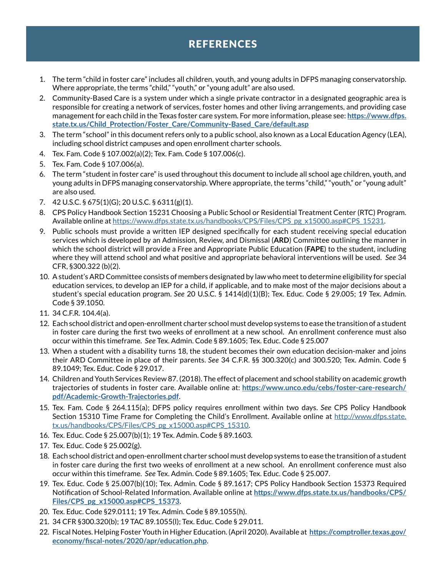# REFERENCES

- 1. The term "child in foster care" includes all children, youth, and young adults in DFPS managing conservatorship. Where appropriate, the terms "child," "youth," or "young adult" are also used.
- 2. Community-Based Care is a system under which a single private contractor in a designated geographic area is responsible for creating a network of services, foster homes and other living arrangements, and providing case management for each child in the Texas foster care system. For more information, please see: **[https://www.dfps.](https://www.dfps.state.tx.us/Child_Protection/Foster_Care/Community-Based_Care/default.asp) [state.tx.us/Child\\_Protection/Foster\\_Care/Community-Based\\_Care/default.asp](https://www.dfps.state.tx.us/Child_Protection/Foster_Care/Community-Based_Care/default.asp)**
- 3. The term "school" in this document refers only to a public school, also known as a Local Education Agency (LEA), including school district campuses and open enrollment charter schools.
- 4. Tex. Fam. Code § 107.002(a)(2); Tex. Fam. Code § 107.006(c).
- 5. Tex. Fam. Code § 107.006(a).
- 6. The term "student in foster care" is used throughout this document to include all school age children, youth, and young adults in DFPS managing conservatorship. Where appropriate, the terms "child," "youth," or "young adult" are also used.
- 7. 42 U.S.C. § 675(1)(G); 20 U.S.C. § 6311(g)(1).
- 8. CPS Policy Handbook Section 15231 Choosing a Public School or Residential Treatment Center (RTC) Program. Available online at [https://www.dfps.state.tx.us/handbooks/CPS/Files/CPS\\_pg\\_x15000.asp#CPS\\_15231](https://www.dfps.state.tx.us/handbooks/CPS/Files/CPS_pg_x15000.asp#CPS_15231).
- 9. Public schools must provide a written IEP designed specifically for each student receiving special education services which is developed by an Admission, Review, and Dismissal (**ARD**) Committee outlining the manner in which the school district will provide a Free and Appropriate Public Education (**FAPE**) to the student, including where they will attend school and what positive and appropriate behavioral interventions will be used. *See* 34 CFR, §300.322 (b)(2).
- 10. A student's ARD Committee consists of members designated by law who meet to determine eligibility for special education services, to develop an IEP for a child, if applicable, and to make most of the major decisions about a student's special education program. *See* 20 U.S.C. § 1414(d)(1)(B); Tex. Educ. Code § 29.005; 19 Tex. Admin. Code § 39.1050.
- 11. 34 C.F.R. 104.4(a).
- 12. Each school district and open-enrollment charter school must develop systems to ease the transition of a student in foster care during the first two weeks of enrollment at a new school. An enrollment conference must also occur within this timeframe. *See* Tex. Admin. Code § 89.1605; Tex. Educ. Code § 25.007
- 13. When a student with a disability turns 18, the student becomes their own education decision-maker and joins their ARD Committee in place of their parents. *See* 34 C.F.R. §§ 300.320(c) and 300.520; Tex. Admin. Code § 89.1049; Tex. Educ. Code § 29.017.
- 14. Children and Youth Services Review 87. (2018). The effect of placement and school stability on academic growth trajectories of students in foster care. Available online at: **[https://www.unco.edu/cebs/foster-care-research/](https://www.unco.edu/cebs/foster-care-research/pdf/Academic-Growth-Trajectories.pdf) [pdf/Academic-Growth-Trajectories.pdf](https://www.unco.edu/cebs/foster-care-research/pdf/Academic-Growth-Trajectories.pdf)**.
- 15. Tex. Fam. Code § 264.115(a); DFPS policy requires enrollment within two days. *See* CPS Policy Handbook Section 15310 Time Frame for Completing the Child's Enrollment. Available online at [http://www.dfps.state.](http://www.dfps.state.tx.us/handbooks/CPS/Files/CPS_pg_x15000.asp#CPS_15310) [tx.us/handbooks/CPS/Files/CPS\\_pg\\_x15000.asp#CPS\\_15310](http://www.dfps.state.tx.us/handbooks/CPS/Files/CPS_pg_x15000.asp#CPS_15310).
- 16. Tex. Educ. Code § 25.007(b)(1); 19 Tex. Admin. Code § 89.1603.
- 17. Tex. Educ. Code § 25.002(g).
- 18. Each school district and open-enrollment charter school must develop systems to ease the transition of a student in foster care during the first two weeks of enrollment at a new school. An enrollment conference must also occur within this timeframe. *See* Tex. Admin. Code § 89.1605; Tex. Educ. Code § 25.007.
- 19. Tex. Educ. Code § 25.007(b)(10); Tex. Admin. Code § 89.1617; CPS Policy Handbook Section 15373 Required Notification of School-Related Information. Available online at **[https://www.dfps.state.tx.us/handbooks/CPS/](https://www.dfps.state.tx.us/handbooks/CPS/Files/CPS_pg_x15000.asp#CPS_15373) [Files/CPS\\_pg\\_x15000.asp#CPS\\_15373](https://www.dfps.state.tx.us/handbooks/CPS/Files/CPS_pg_x15000.asp#CPS_15373)**.
- 20. Tex. Educ. Code §29.0111; 19 Tex. Admin. Code § 89.1055(h).
- 21. 34 CFR §300.320(b); 19 TAC 89.1055(l); Tex. Educ. Code § 29.011.
- 22. Fiscal Notes. Helping Foster Youth in Higher Education. (April 2020). Available at **[https://comptroller.texas.gov/](https://comptroller.texas.gov/economy/fiscal-notes/2020/apr/education.php) [economy/fiscal-notes/2020/apr/education.php](https://comptroller.texas.gov/economy/fiscal-notes/2020/apr/education.php)**.